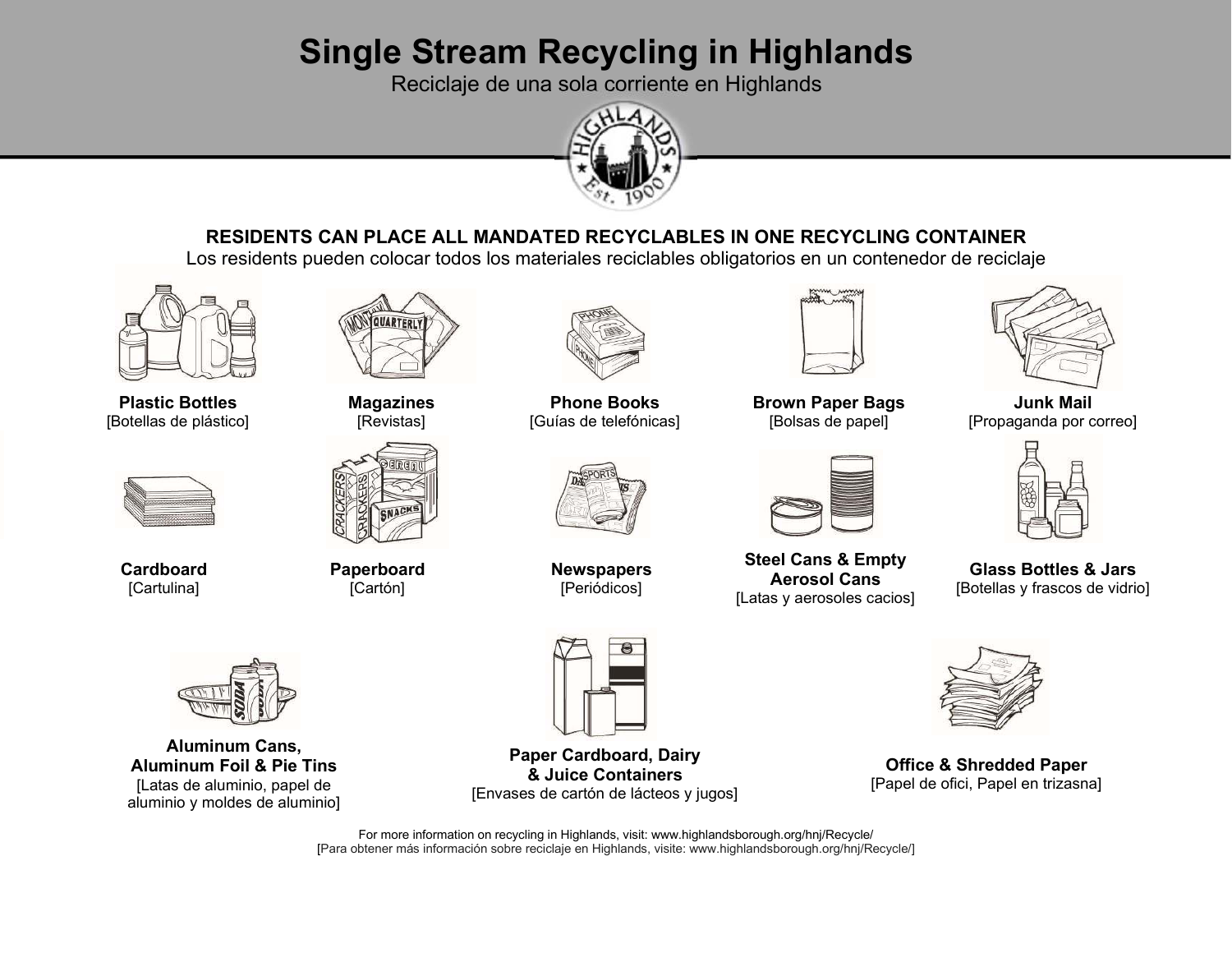# **Single Stream Recycling in Highlands**

Reciclaje de una sola corriente en Highlands



# **RESIDENTS CAN PLACE ALL MANDATED RECYCLABLES IN ONE RECYCLING CONTAINER**

Los residents pueden colocar todos los materiales reciclables obligatorios en un contenedor de reciclaje



**Plastic Bottles**[Botellas de plástico]



**Cardboard**[Cartulina]



**Magazines** [Revistas]



**Paperboard**[Cartón]



**Phone Books**[Guías de telefónicas]



**Newspapers**[Periódicos]



**Brown Paper Bags**[Bolsas de papel]



**Steel Cans & EmptyAerosol Cans**[Latas y aerosoles cacios]



**Junk Mail**[Propaganda por correo]



**Glass Bottles & Jars**[Botellas y frascos de vidrio]



**Office & Shredded Paper**[Papel de ofici, Papel en trizasna]



**Aluminum Cans, Aluminum Foil & Pie Tins** [Latas de aluminio, papel de aluminio y moldes de aluminio]



**Paper Cardboard, Dairy& Juice Containers**[Envases de cartón de lácteos y jugos]

For more information on recycling in Highlands, visit: www.highlandsborough.org/hnj/Recycle/ [Para obtener más información sobre reciclaje en Highlands, visite: www.highlandsborough.org/hnj/Recycle/]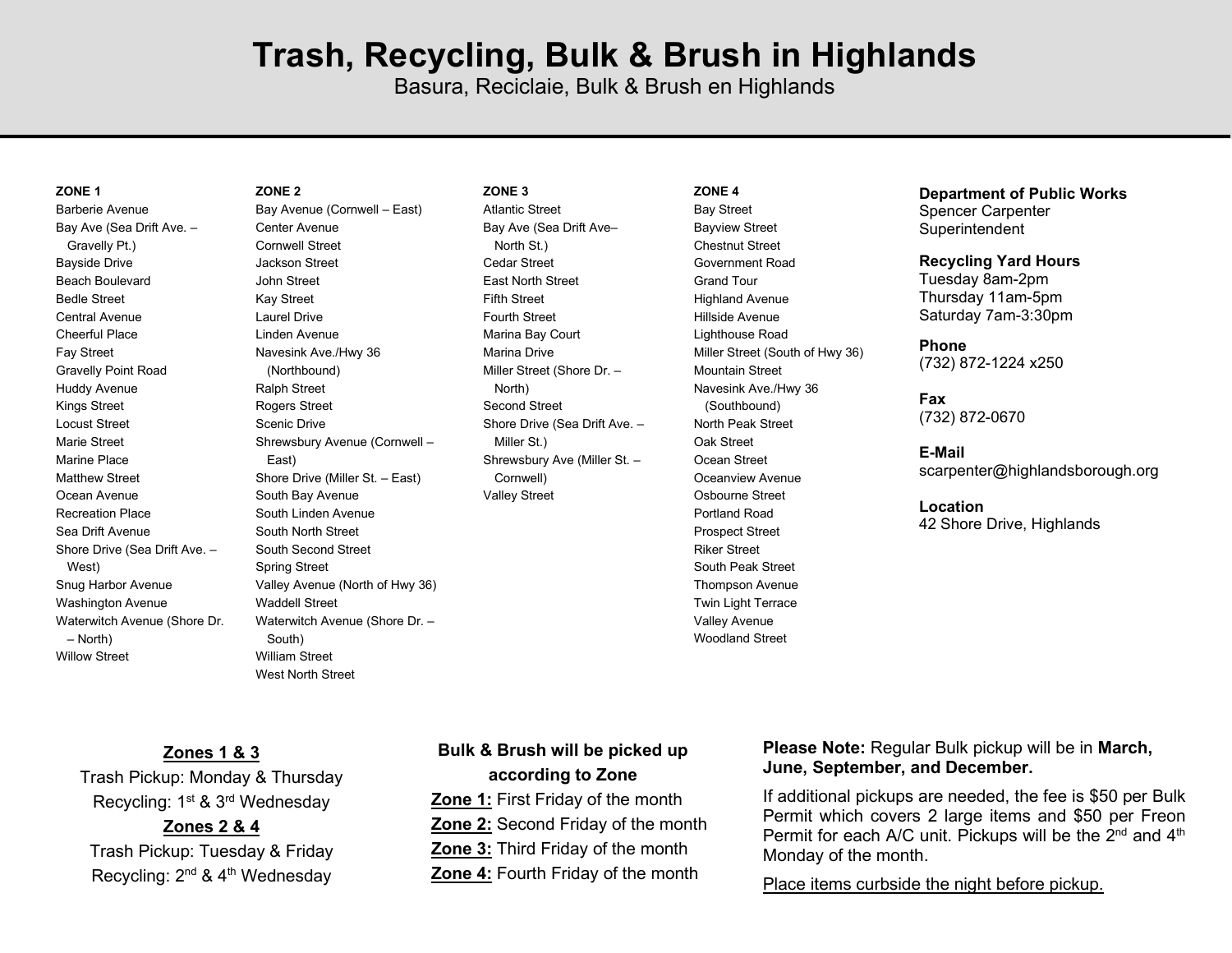# **Trash, Recycling, Bulk & Brush in Highlands**

Basura, Reciclaie, Bulk & Brush en Highlands

#### **ZONE 1**

Barberie Avenue Bay Ave (Sea Drift Ave. – Gravelly Pt.) Bayside Drive Beach Boulevard Bedle Street Central Avenue Cheerful Place Fay Street Gravelly Point Road Huddy Avenue Kings Street Locust Street Marie Street Marine Place Matthew Street Ocean Avenue Recreation Place Sea Drift Avenue Shore Drive (Sea Drift Ave. – West) Snug Harbor Avenue Washington Avenue Waterwitch Avenue (Shore Dr. – North) Willow Street

### **ZONE 2**

Bay Avenue (Cornwell – East) Center Avenue Cornwell Street Jackson Street John Street Kay Street Laurel Drive Linden Avenue Navesink Ave./Hwy 36 (Northbound) Ralph Street Rogers Street Scenic Drive Shrewsbury Avenue (Cornwell – East) Shore Drive (Miller St. – East) South Bay Avenue South Linden Avenue South North Street South Second Street Spring Street Valley Avenue (North of Hwy 36) Waddell Street Waterwitch Avenue (Shore Dr. – South) William Street West North Street

#### **ZONE 3**

 Atlantic Street Bay Ave (Sea Drift Ave– North St.) Cedar Street East North Street Fifth Street Fourth Street Marina Bay Court Marina Drive Miller Street (Shore Dr. – North) Second Street Shore Drive (Sea Drift Ave. – Miller St.) Shrewsbury Ave (Miller St. – Cornwell) Valley Street

#### **ZONE 4**

Bay Street Bayview Street Chestnut Street Government Road Grand Tour Highland Avenue Hillside Avenue Lighthouse Road Miller Street (South of Hwy 36) Mountain Street Navesink Ave./Hwy 36 (Southbound) North Peak Street Oak Street Ocean Street Oceanview Avenue Osbourne Street Portland Road Prospect Street Riker Street South Peak Street Thompson Avenue Twin Light Terrace Valley Avenue Woodland Street

### **Department of Public Works** Spencer Carpenter

**Superintendent** 

### **Recycling Yard Hours**

Tuesday 8am-2pm Thursday 11am-5pm Saturday 7am-3:30pm

#### **Phone**

(732) 872-1224 x250

### **Fax** (732) 872-0670

**E-Mail** scarpenter@highlandsborough.org

#### **Location**

42 Shore Drive, Highlands

**Zones 1 & 3** 

Trash Pickup: Monday & Thursday Recycling: 1<sup>st</sup> & 3<sup>rd</sup> Wednesday **Zones 2 & 4** Trash Pickup: Tuesday & Friday

Recycling: 2<sup>nd</sup> & 4<sup>th</sup> Wednesday

**according to Zone Zone 1: First Friday of the month Zone 2:** Second Friday of the month  **Zone 3:** Third Friday of the month

**Bulk & Brush will be picked up** 

**Zone 4:** Fourth Friday of the month

### **Please Note:** Regular Bulk pickup will be in **March, June, September, and December.**

If additional pickups are needed, the fee is \$50 per Bulk Permit which covers 2 large items and \$50 per FreonPermit for each A/C unit. Pickups will be the 2 $^{\mathsf{nd}}$  and 4 $^{\mathsf{th}}$ Monday of the month.

Place items curbside the night before pickup.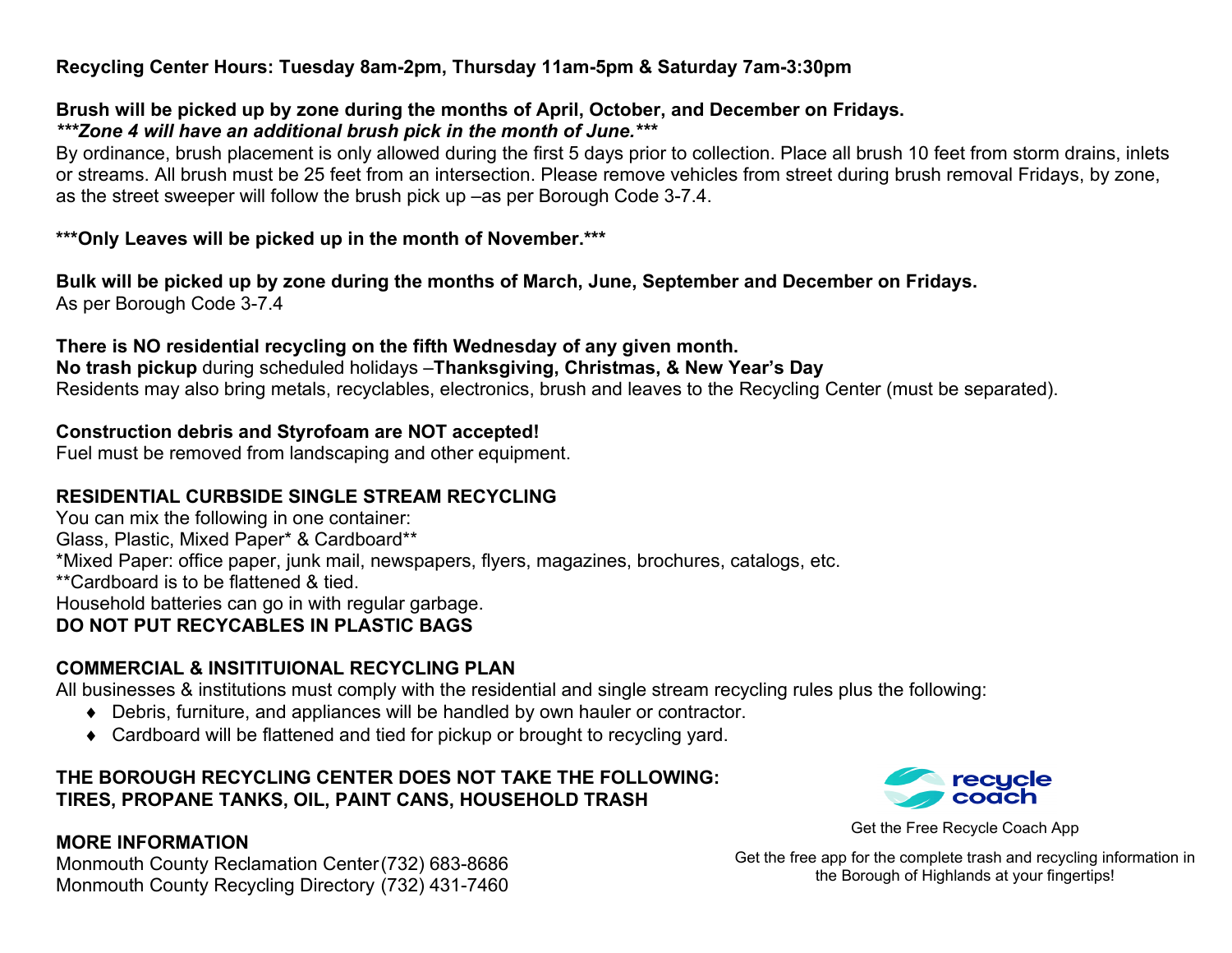### **Recycling Center Hours: Tuesday 8am-2pm, Thursday 11am-5pm & Saturday 7am-3:30pm**

### **Brush will be picked up by zone during the months of April, October, and December on Fridays.***\*\*\*Zone 4 will have an additional brush pick in the month of June.\*\*\**

 By ordinance, brush placement is only allowed during the first 5 days prior to collection. Place all brush 10 feet from storm drains, inlets or streams. All brush must be 25 feet from an intersection. Please remove vehicles from street during brush removal Fridays, by zone, as the street sweeper will follow the brush pick up –as per Borough Code 3-7.4.

### **\*\*\*Only Leaves will be picked up in the month of November.\*\*\***

**Bulk will be picked up by zone during the months of March, June, September and December on Fridays.** As per Borough Code 3-7.4

# **There is NO residential recycling on the fifth Wednesday of any given month.**

 **No trash pickup** during scheduled holidays –**Thanksgiving, Christmas, & New Year's Day**Residents may also bring metals, recyclables, electronics, brush and leaves to the Recycling Center (must be separated).

# **Construction debris and Styrofoam are NOT accepted!**

Fuel must be removed from landscaping and other equipment.

# **RESIDENTIAL CURBSIDE SINGLE STREAM RECYCLING**

You can mix the following in one container: Glass, Plastic, Mixed Paper\* & Cardboard\*\* \*Mixed Paper: office paper, junk mail, newspapers, flyers, magazines, brochures, catalogs, etc. \*\*Cardboard is to be flattened & tied. Household batteries can go in with regular garbage.**DO NOT PUT RECYCABLES IN PLASTIC BAGS** 

# **COMMERCIAL & INSITITUIONAL RECYCLING PLAN**

All businesses & institutions must comply with the residential and single stream recycling rules plus the following:

- Debris, furniture, and appliances will be handled by own hauler or contractor.
- Cardboard will be flattened and tied for pickup or brought to recycling yard.

# **THE BOROUGH RECYCLING CENTER DOES NOT TAKE THE FOLLOWING: TIRES, PROPANE TANKS, OIL, PAINT CANS, HOUSEHOLD TRASH**

# **MORE INFORMATION**

 Monmouth County Reclamation Center (732) 683-8686 Monmouth County Recycling Directory (732) 431-7460



Get the Free Recycle Coach App

Get the free app for the complete trash and recycling information in the Borough of Highlands at your fingertips!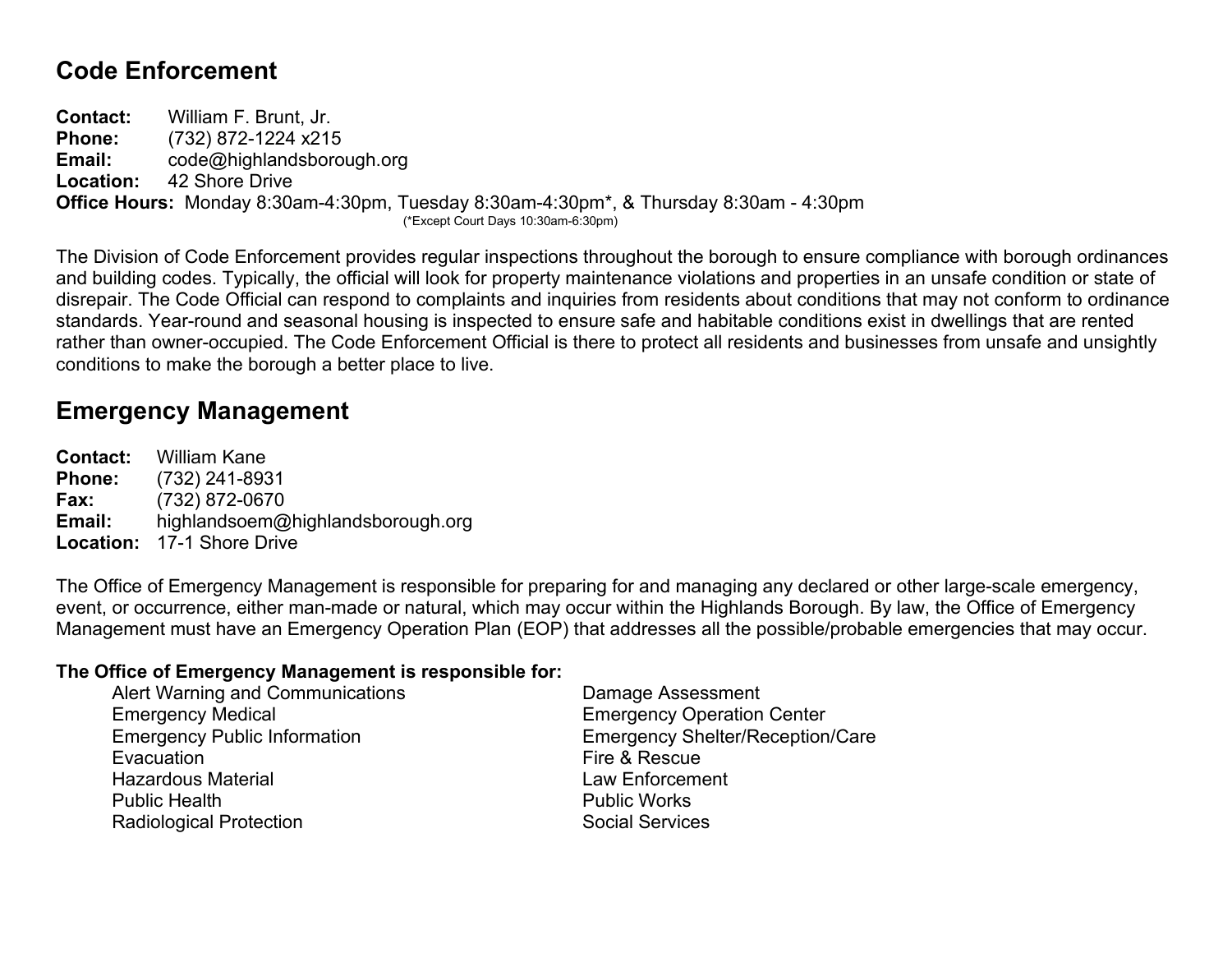# **Code Enforcement**

**Contact:** William F. Brunt, Jr. **Phone:** (732) 872-1224 x215 **Email:** code@highlandsborough.org **Location:** 42 Shore Drive **Office Hours:** Monday 8:30am-4:30pm, Tuesday 8:30am-4:30pm\*, & Thursday 8:30am - 4:30pm (\*Except Court Days 10:30am-6:30pm)

The Division of Code Enforcement provides regular inspections throughout the borough to ensure compliance with borough ordinances and building codes. Typically, the official will look for property maintenance violations and properties in an unsafe condition or state of disrepair. The Code Official can respond to complaints and inquiries from residents about conditions that may not conform to ordinance standards. Year-round and seasonal housing is inspected to ensure safe and habitable conditions exist in dwellings that are rented rather than owner-occupied. The Code Enforcement Official is there to protect all residents and businesses from unsafe and unsightly conditions to make the borough a better place to live.

# **Emergency Management**

**Contact:** William Kane **Phone:** (732) 241-8931 **Fax:** (732) 872-0670 **Email:** highlandsoem@highlandsborough.org **Location:** 17-1 Shore Drive

The Office of Emergency Management is responsible for preparing for and managing any declared or other large-scale emergency, event, or occurrence, either man-made or natural, which may occur within the Highlands Borough. By law, the Office of Emergency Management must have an Emergency Operation Plan (EOP) that addresses all the possible/probable emergencies that may occur.

### **The Office of Emergency Management is responsible for:**

| Alert Warning and Communications    | Damage Assessment                       |
|-------------------------------------|-----------------------------------------|
| <b>Emergency Medical</b>            | <b>Emergency Operation Center</b>       |
| <b>Emergency Public Information</b> | <b>Emergency Shelter/Reception/Care</b> |
| Evacuation                          | Fire & Rescue                           |
| <b>Hazardous Material</b>           | <b>Law Enforcement</b>                  |
| <b>Public Health</b>                | <b>Public Works</b>                     |
| <b>Radiological Protection</b>      | <b>Social Services</b>                  |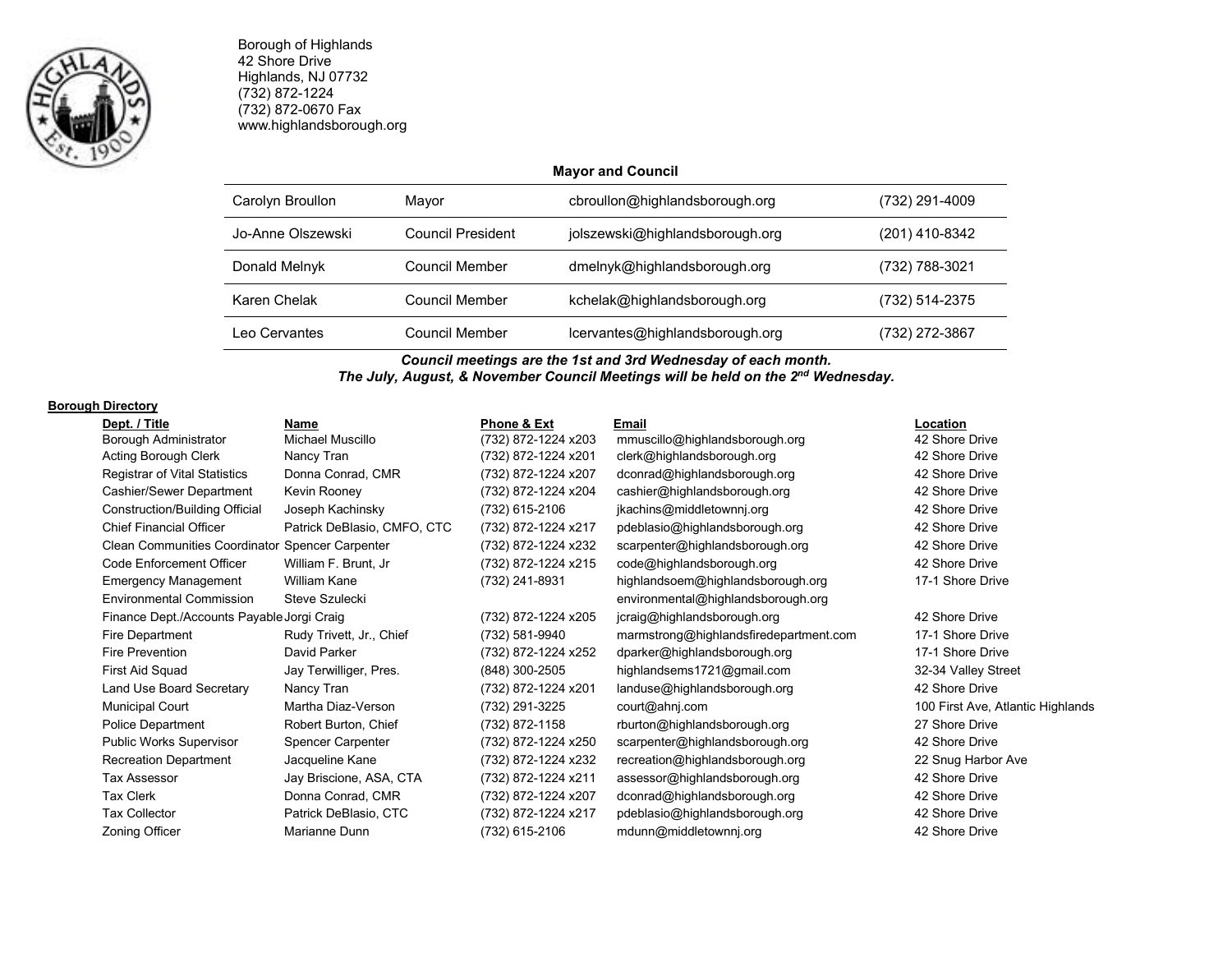

Borough of Highlands 42 Shore Drive Highlands, NJ 07732 (732) 872-1224 (732) 872-0670 Fax www.highlandsborough.org

### **Mayor and Council**

| Carolyn Broullon  | Mayor             | cbroullon@highlandsborough.org  | (732) 291-4009 |
|-------------------|-------------------|---------------------------------|----------------|
| Jo-Anne Olszewski | Council President | jolszewski@highlandsborough.org | (201) 410-8342 |
| Donald Melnyk     | Council Member    | dmelnyk@highlandsborough.org    | (732) 788-3021 |
| Karen Chelak      | Council Member    | kchelak@highlandsborough.org    | (732) 514-2375 |
| Leo Cervantes     | Council Member    | lcervantes@highlandsborough.org | (732) 272-3867 |

*Council meetings are the 1st and 3rd Wednesday of each month. The July, August, & November Council Meetings will be held on the 2nd Wednesday.* 

### **Borough Directory**

| Dept. / Title                                          | Name                        | Phone & Ext         | Email                                  | Location                          |
|--------------------------------------------------------|-----------------------------|---------------------|----------------------------------------|-----------------------------------|
| Borough Administrator                                  | Michael Muscillo            | (732) 872-1224 x203 | mmuscillo@highlandsborough.org         | 42 Shore Drive                    |
| Acting Borough Clerk                                   | Nancy Tran                  | (732) 872-1224 x201 | clerk@highlandsborough.org             | 42 Shore Drive                    |
| <b>Registrar of Vital Statistics</b>                   | Donna Conrad, CMR           | (732) 872-1224 x207 | dconrad@highlandsborough.org           | 42 Shore Drive                    |
| Cashier/Sewer Department                               | Kevin Rooney                | (732) 872-1224 x204 | cashier@highlandsborough.org           | 42 Shore Drive                    |
| Construction/Building Official                         | Joseph Kachinsky            | (732) 615-2106      | jkachins@middletownnj.org              | 42 Shore Drive                    |
| <b>Chief Financial Officer</b>                         | Patrick DeBlasio, CMFO, CTC | (732) 872-1224 x217 | pdeblasio@highlandsborough.org         | 42 Shore Drive                    |
| <b>Clean Communities Coordinator Spencer Carpenter</b> |                             | (732) 872-1224 x232 | scarpenter@highlandsborough.org        | 42 Shore Drive                    |
| Code Enforcement Officer                               | William F. Brunt, Jr        | (732) 872-1224 x215 | code@highlandsborough.org              | 42 Shore Drive                    |
| <b>Emergency Management</b>                            | William Kane                | (732) 241-8931      | highlandsoem@highlandsborough.org      | 17-1 Shore Drive                  |
| <b>Environmental Commission</b>                        | Steve Szulecki              |                     | environmental@highlandsborough.org     |                                   |
| Finance Dept./Accounts Payable Jorgi Craig             |                             | (732) 872-1224 x205 | jcraig@highlandsborough.org            | 42 Shore Drive                    |
| Fire Department                                        | Rudy Trivett, Jr., Chief    | (732) 581-9940      | marmstrong@highlandsfiredepartment.com | 17-1 Shore Drive                  |
| Fire Prevention                                        | David Parker                | (732) 872-1224 x252 | dparker@highlandsborough.org           | 17-1 Shore Drive                  |
| First Aid Squad                                        | Jay Terwilliger, Pres.      | (848) 300-2505      | highlandsems1721@gmail.com             | 32-34 Valley Street               |
| Land Use Board Secretary                               | Nancy Tran                  | (732) 872-1224 x201 | landuse@highlandsborough.org           | 42 Shore Drive                    |
| <b>Municipal Court</b>                                 | Martha Diaz-Verson          | (732) 291-3225      | court@ahnj.com                         | 100 First Ave, Atlantic Highlands |
| <b>Police Department</b>                               | Robert Burton, Chief        | (732) 872-1158      | rburton@highlandsborough.org           | 27 Shore Drive                    |
| Public Works Supervisor                                | Spencer Carpenter           | (732) 872-1224 x250 | scarpenter@highlandsborough.org        | 42 Shore Drive                    |
| <b>Recreation Department</b>                           | Jacqueline Kane             | (732) 872-1224 x232 | recreation@highlandsborough.org        | 22 Snug Harbor Ave                |
| Tax Assessor                                           | Jay Briscione, ASA, CTA     | (732) 872-1224 x211 | assessor@highlandsborough.org          | 42 Shore Drive                    |
| <b>Tax Clerk</b>                                       | Donna Conrad, CMR           | (732) 872-1224 x207 | dconrad@highlandsborough.org           | 42 Shore Drive                    |
| <b>Tax Collector</b>                                   | Patrick DeBlasio, CTC       | (732) 872-1224 x217 | pdeblasio@highlandsborough.org         | 42 Shore Drive                    |
| Zoning Officer                                         | Marianne Dunn               | (732) 615-2106      | mdunn@middletownnj.org                 | 42 Shore Drive                    |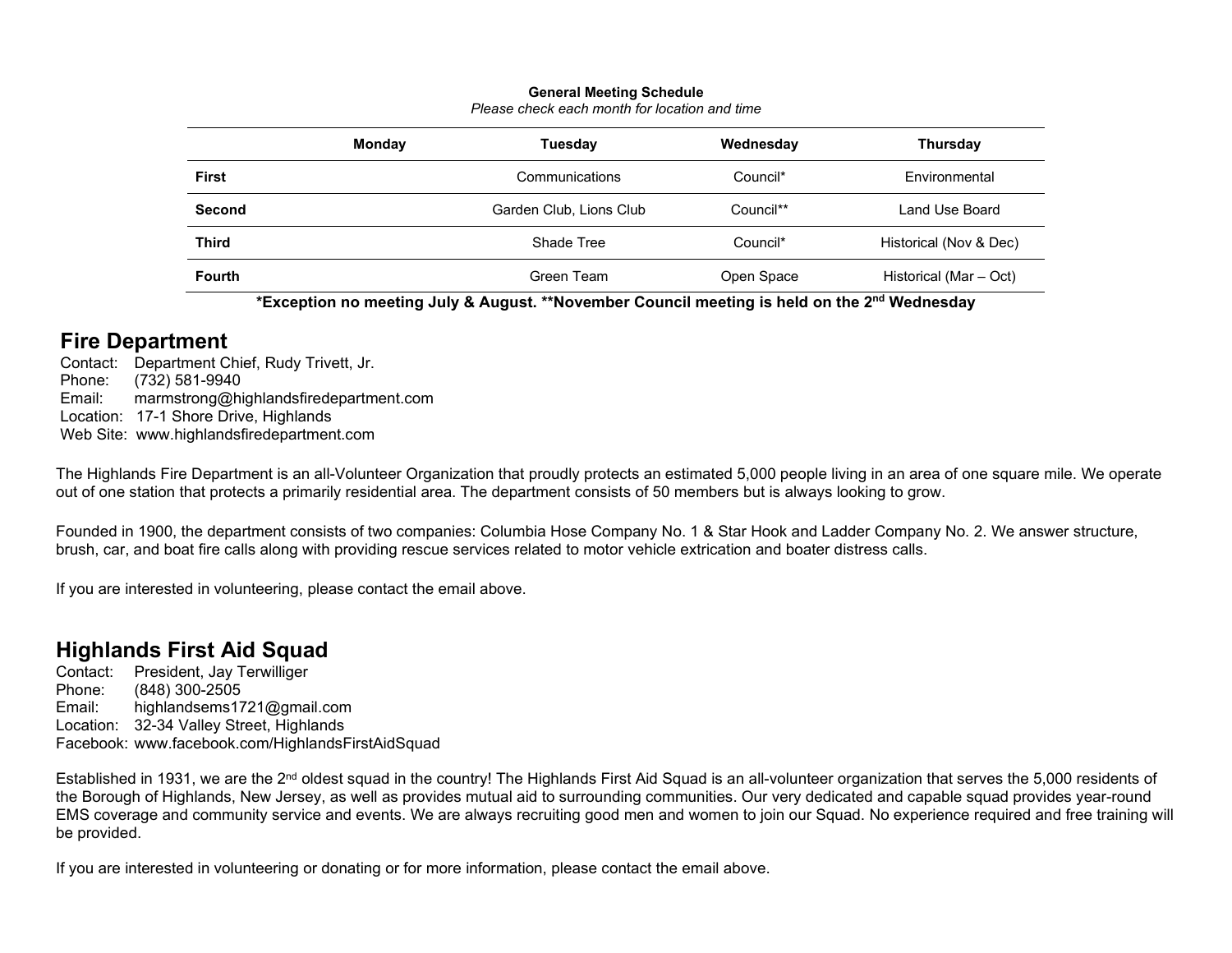### **General Meeting Schedule**

| Please check each month for location and time |  |  |  |
|-----------------------------------------------|--|--|--|

|               | Monday | <b>Tuesday</b>          | Wednesday  | <b>Thursday</b>        |
|---------------|--------|-------------------------|------------|------------------------|
| First         |        | Communications          | Council*   | <b>Fnvironmental</b>   |
| <b>Second</b> |        | Garden Club, Lions Club | Council**  | Land Use Board         |
| <b>Third</b>  |        | Shade Tree              | Council*   | Historical (Nov & Dec) |
| <b>Fourth</b> |        | Green Team              | Open Space | Historical (Mar – Oct) |

**\*Exception no meeting July & August. \*\*November Council meeting is held on the 2nd Wednesday** 

# **Fire Department**

 Contact: Department Chief, Rudy Trivett, Jr. Phone: (732) 581-9940 Email: marmstrong@highlandsfiredepartment.com Location: 17-1 Shore Drive, Highlands Web Site: www.highlandsfiredepartment.com

The Highlands Fire Department is an all-Volunteer Organization that proudly protects an estimated 5,000 people living in an area of one square mile. We operate out of one station that protects a primarily residential area. The department consists of 50 members but is always looking to grow.

Founded in 1900, the department consists of two companies: Columbia Hose Company No. 1 & Star Hook and Ladder Company No. 2. We answer structure, brush, car, and boat fire calls along with providing rescue services related to motor vehicle extrication and boater distress calls.

If you are interested in volunteering, please contact the email above.

# **Highlands First Aid Squad**

Contact: President, Jay Terwilliger Phone: (848) 300-2505 Email: highlandsems1721@gmail.com Location: 32-34 Valley Street, Highlands Facebook: www.facebook.com/HighlandsFirstAidSquad

Established in 1931, we are the 2<sup>nd</sup> oldest squad in the country! The Highlands First Aid Squad is an all-volunteer organization that serves the 5,000 residents of the Borough of Highlands, New Jersey, as well as provides mutual aid to surrounding communities. Our very dedicated and capable squad provides year-round EMS coverage and community service and events. We are always recruiting good men and women to join our Squad. No experience required and free training will be provided.

If you are interested in volunteering or donating or for more information, please contact the email above.